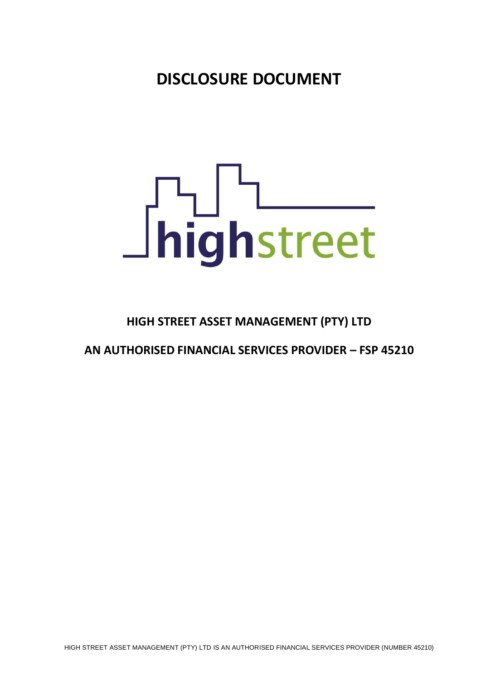**DISCLOSURE DOCUMENT**

# **Shighstreet**

# **HIGH STREET ASSET MANAGEMENT (PTY) LTD**

# **AN AUTHORISED FINANCIAL SERVICES PROVIDER – FSP 45210**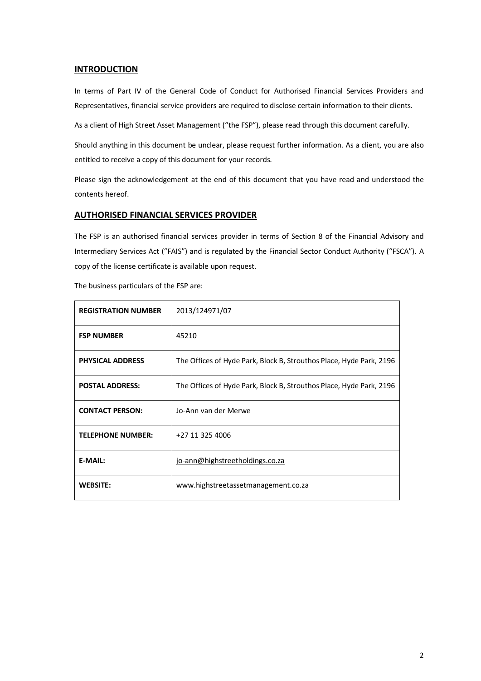# **INTRODUCTION**

In terms of Part IV of the General Code of Conduct for Authorised Financial Services Providers and Representatives, financial service providers are required to disclose certain information to their clients.

As a client of High Street Asset Management ("the FSP"), please read through this document carefully.

Should anything in this document be unclear, please request further information. As a client, you are also entitled to receive a copy of this document for your records.

Please sign the acknowledgement at the end of this document that you have read and understood the contents hereof.

### **AUTHORISED FINANCIAL SERVICES PROVIDER**

The FSP is an authorised financial services provider in terms of Section 8 of the Financial Advisory and Intermediary Services Act ("FAIS") and is regulated by the Financial Sector Conduct Authority ("FSCA"). A copy of the license certificate is available upon request.

| <b>REGISTRATION NUMBER</b> | 2013/124971/07                                                      |
|----------------------------|---------------------------------------------------------------------|
| <b>FSP NUMBER</b>          | 45210                                                               |
| <b>PHYSICAL ADDRESS</b>    | The Offices of Hyde Park, Block B, Strouthos Place, Hyde Park, 2196 |
| <b>POSTAL ADDRESS:</b>     | The Offices of Hyde Park, Block B, Strouthos Place, Hyde Park, 2196 |
| <b>CONTACT PERSON:</b>     | Jo-Ann van der Merwe                                                |
| <b>TELEPHONE NUMBER:</b>   | +27 11 325 4006                                                     |
| <b>E-MAIL:</b>             | jo-ann@highstreetholdings.co.za                                     |
| <b>WEBSITE:</b>            | www.highstreetassetmanagement.co.za                                 |

The business particulars of the FSP are: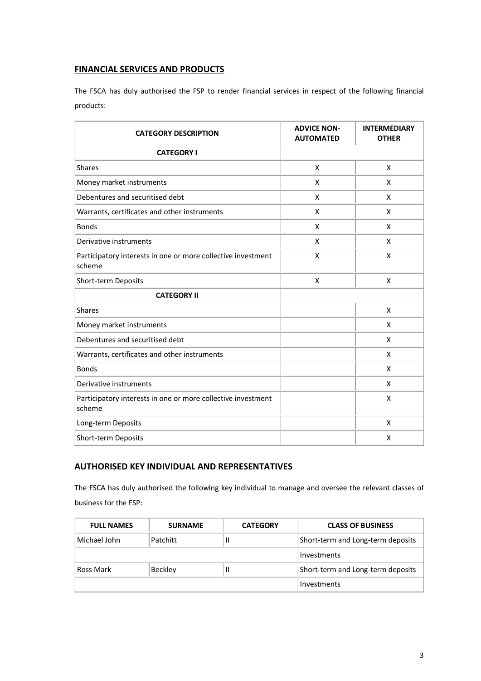# **FINANCIAL SERVICES AND PRODUCTS**

The FSCA has duly authorised the FSP to render financial services in respect of the following financial products:

| <b>CATEGORY DESCRIPTION</b>                                            | <b>ADVICE NON-</b><br><b>AUTOMATED</b> | <b>INTERMEDIARY</b><br><b>OTHER</b> |
|------------------------------------------------------------------------|----------------------------------------|-------------------------------------|
| <b>CATEGORY I</b>                                                      |                                        |                                     |
| <b>Shares</b>                                                          | X                                      | X                                   |
| Money market instruments                                               | X                                      | X                                   |
| Debentures and securitised debt                                        | X                                      | X                                   |
| Warrants, certificates and other instruments                           | X                                      | X                                   |
| <b>Bonds</b>                                                           | X                                      | X                                   |
| Derivative instruments                                                 | X                                      | X                                   |
| Participatory interests in one or more collective investment<br>scheme | X                                      | X                                   |
| Short-term Deposits                                                    | X                                      | X                                   |
| <b>CATEGORY II</b>                                                     |                                        |                                     |
| <b>Shares</b>                                                          |                                        | X                                   |
| Money market instruments                                               |                                        | X                                   |
| Debentures and securitised debt                                        |                                        | X                                   |
| Warrants, certificates and other instruments                           |                                        | X                                   |
| <b>Bonds</b>                                                           |                                        | X                                   |
| Derivative instruments                                                 |                                        | X                                   |
| Participatory interests in one or more collective investment<br>scheme |                                        | X                                   |
| Long-term Deposits                                                     |                                        | X                                   |
| Short-term Deposits                                                    |                                        | X                                   |

# **AUTHORISED KEY INDIVIDUAL AND REPRESENTATIVES**

The FSCA has duly authorised the following key individual to manage and oversee the relevant classes of business for the FSP:

| <b>FULL NAMES</b> | <b>CLASS OF BUSINESS</b><br><b>SURNAME</b><br><b>CATEGORY</b> |                                        |                                   |
|-------------------|---------------------------------------------------------------|----------------------------------------|-----------------------------------|
| Michael John      | Patchitt                                                      | Short-term and Long-term deposits<br>Ш |                                   |
|                   |                                                               |                                        | Investments                       |
| Ross Mark         | Beckley                                                       | Ш                                      | Short-term and Long-term deposits |
|                   |                                                               |                                        | Investments                       |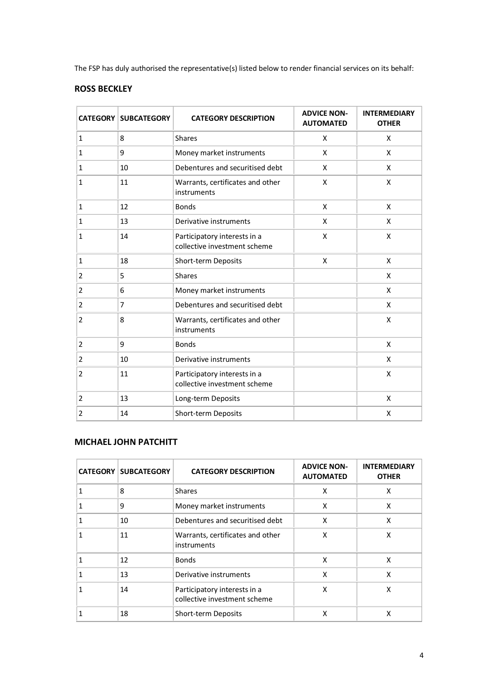The FSP has duly authorised the representative(s) listed below to render financial services on its behalf:

# **ROSS BECKLEY**

|                | <b>CATEGORY   SUBCATEGORY</b> | <b>CATEGORY DESCRIPTION</b>                                  | <b>ADVICE NON-</b><br><b>AUTOMATED</b> | <b>INTERMEDIARY</b><br><b>OTHER</b> |
|----------------|-------------------------------|--------------------------------------------------------------|----------------------------------------|-------------------------------------|
| 1              | 8                             | Shares                                                       | X                                      | X                                   |
| 1              | 9                             | Money market instruments                                     | X                                      | X                                   |
| 1              | 10                            | Debentures and securitised debt                              | X                                      | X                                   |
| 1              | 11                            | Warrants, certificates and other<br>instruments              | X                                      | X                                   |
| 1              | 12                            | <b>Bonds</b>                                                 | X                                      | X                                   |
| 1              | 13                            | Derivative instruments                                       | X                                      | X                                   |
| 1              | 14                            | Participatory interests in a<br>collective investment scheme | Χ                                      | X                                   |
| 1              | 18                            | Short-term Deposits                                          | X                                      | X                                   |
| 2              | 5                             | <b>Shares</b>                                                |                                        | X                                   |
| $\overline{2}$ | 6                             | Money market instruments                                     |                                        | X                                   |
| $\overline{2}$ | 7                             | Debentures and securitised debt                              |                                        | X                                   |
| 2              | 8                             | Warrants, certificates and other<br>instruments              |                                        | X                                   |
| $\overline{2}$ | 9                             | <b>Bonds</b>                                                 |                                        | X                                   |
| $\overline{2}$ | 10                            | Derivative instruments                                       |                                        | X                                   |
| $\overline{2}$ | 11                            | Participatory interests in a<br>collective investment scheme |                                        | X                                   |
| $\overline{2}$ | 13                            | Long-term Deposits                                           |                                        | X                                   |
| 2              | 14                            | Short-term Deposits                                          |                                        | X                                   |

# **MICHAEL JOHN PATCHITT**

| <b>CATEGORY</b> | <b>SUBCATEGORY</b> | <b>CATEGORY DESCRIPTION</b>                                  | <b>ADVICE NON-</b><br><b>AUTOMATED</b> | <b>INTERMEDIARY</b><br><b>OTHER</b> |
|-----------------|--------------------|--------------------------------------------------------------|----------------------------------------|-------------------------------------|
|                 | 8                  | <b>Shares</b>                                                | X                                      | X                                   |
|                 | 9                  | Money market instruments                                     | X                                      | X                                   |
|                 | 10                 | Debentures and securitised debt                              | X                                      | X                                   |
|                 | 11                 | Warrants, certificates and other<br>instruments              | X                                      | X                                   |
|                 | 12                 | <b>Bonds</b>                                                 | X                                      | X                                   |
|                 | 13                 | Derivative instruments                                       | X                                      | X                                   |
|                 | 14                 | Participatory interests in a<br>collective investment scheme | X                                      | X                                   |
|                 | 18                 | Short-term Deposits                                          | x                                      | x                                   |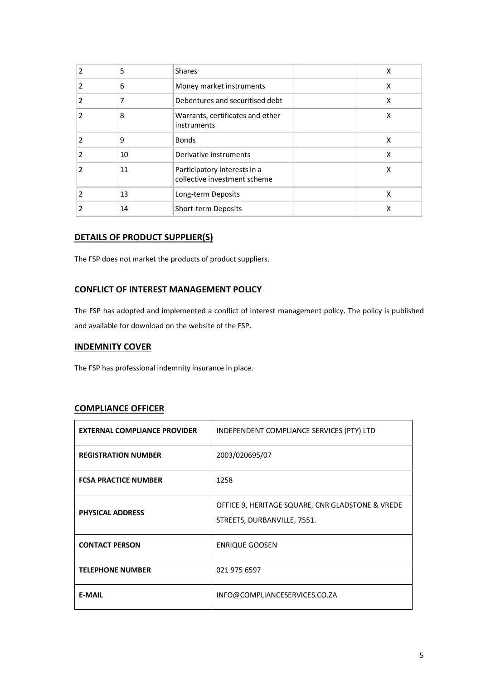| 2 | 5  | <b>Shares</b>                                                | X |
|---|----|--------------------------------------------------------------|---|
| 2 | 6  | Money market instruments                                     | X |
| 2 | 7  | Debentures and securitised debt                              | X |
| 2 | 8  | Warrants, certificates and other<br>instruments              | X |
| 2 | 9  | <b>Bonds</b>                                                 | X |
| 2 | 10 | Derivative instruments                                       | X |
| 2 | 11 | Participatory interests in a<br>collective investment scheme | X |
| 2 | 13 | Long-term Deposits                                           | X |
|   | 14 | Short-term Deposits                                          | х |

# **DETAILS OF PRODUCT SUPPLIER(S)**

The FSP does not market the products of product suppliers.

# **CONFLICT OF INTEREST MANAGEMENT POLICY**

The FSP has adopted and implemented a conflict of interest management policy. The policy is published and available for download on the website of the FSP.

# **INDEMNITY COVER**

The FSP has professional indemnity insurance in place.

# **COMPLIANCE OFFICER**

| <b>EXTERNAL COMPLIANCE PROVIDER</b> | INDEPENDENT COMPLIANCE SERVICES (PTY) LTD                                       |
|-------------------------------------|---------------------------------------------------------------------------------|
| <b>REGISTRATION NUMBER</b>          | 2003/020695/07                                                                  |
| <b>FCSA PRACTICE NUMBER</b>         | 1258                                                                            |
| <b>PHYSICAL ADDRESS</b>             | OFFICE 9, HERITAGE SQUARE, CNR GLADSTONE & VREDE<br>STREETS, DURBANVILLE, 7551. |
| <b>CONTACT PERSON</b>               | <b>ENRIQUE GOOSEN</b>                                                           |
| <b>TELEPHONE NUMBER</b>             | 021 975 6597                                                                    |
| <b>E-MAIL</b>                       | INFO@COMPLIANCESERVICES.CO.ZA                                                   |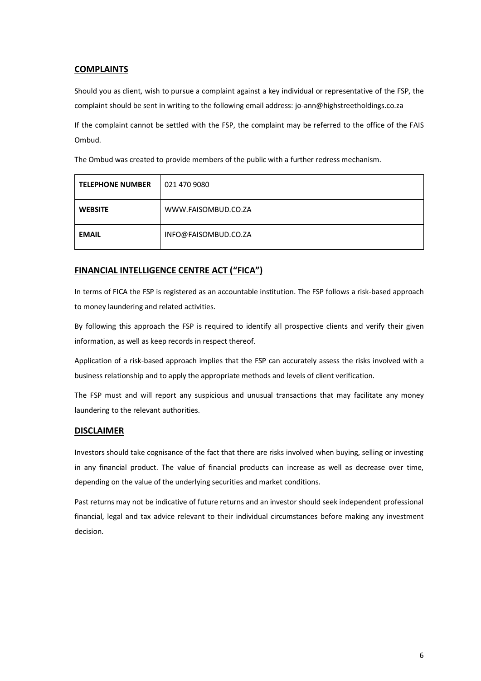# **COMPLAINTS**

Should you as client, wish to pursue a complaint against a key individual or representative of the FSP, the complaint should be sent in writing to the following email address: jo-ann@highstreetholdings.co.za

If the complaint cannot be settled with the FSP, the complaint may be referred to the office of the FAIS Ombud.

The Ombud was created to provide members of the public with a further redress mechanism.

| <b>TELEPHONE NUMBER</b> | 021 470 9080         |
|-------------------------|----------------------|
| <b>WEBSITE</b>          | WWW.FAISOMBUD.CO.ZA  |
| <b>EMAIL</b>            | INFO@FAISOMBUD.CO.ZA |

# **FINANCIAL INTELLIGENCE CENTRE ACT ("FICA")**

In terms of FICA the FSP is registered as an accountable institution. The FSP follows a risk-based approach to money laundering and related activities.

By following this approach the FSP is required to identify all prospective clients and verify their given information, as well as keep records in respect thereof.

Application of a risk-based approach implies that the FSP can accurately assess the risks involved with a business relationship and to apply the appropriate methods and levels of client verification.

The FSP must and will report any suspicious and unusual transactions that may facilitate any money laundering to the relevant authorities.

### **DISCLAIMER**

Investors should take cognisance of the fact that there are risks involved when buying, selling or investing in any financial product. The value of financial products can increase as well as decrease over time, depending on the value of the underlying securities and market conditions.

Past returns may not be indicative of future returns and an investor should seek independent professional financial, legal and tax advice relevant to their individual circumstances before making any investment decision.